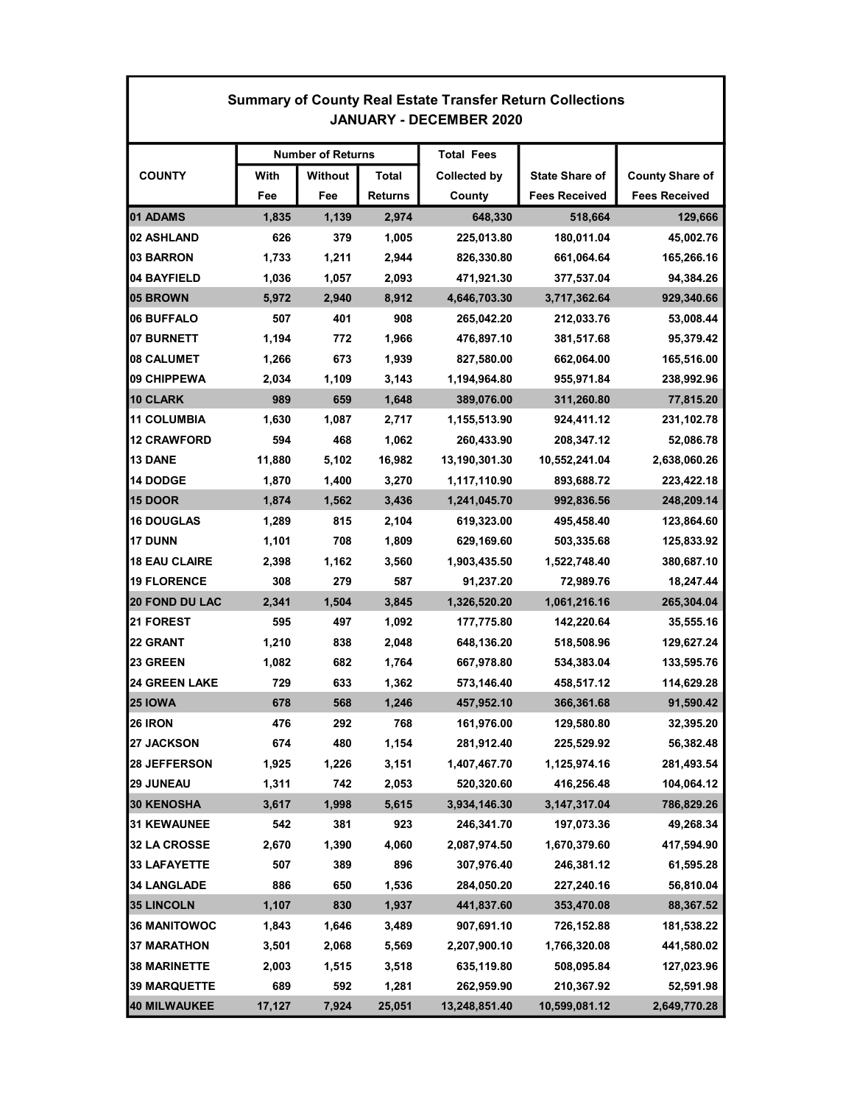| <b>Summary of County Real Estate Transfer Return Collections</b><br><b>JANUARY - DECEMBER 2020</b> |                          |                |                |                     |                       |                        |  |  |  |
|----------------------------------------------------------------------------------------------------|--------------------------|----------------|----------------|---------------------|-----------------------|------------------------|--|--|--|
|                                                                                                    | <b>Number of Returns</b> |                |                | <b>Total Fees</b>   |                       |                        |  |  |  |
| <b>COUNTY</b>                                                                                      | With                     | <b>Without</b> | Total          | <b>Collected by</b> | <b>State Share of</b> | <b>County Share of</b> |  |  |  |
|                                                                                                    | Fee                      | Fee            | <b>Returns</b> | County              | <b>Fees Received</b>  | <b>Fees Received</b>   |  |  |  |
| <b>01 ADAMS</b>                                                                                    | 1,835                    | 1,139          | 2,974          | 648,330             | 518,664               | 129,666                |  |  |  |
| 02 ASHLAND                                                                                         | 626                      | 379            | 1,005          | 225,013.80          | 180,011.04            | 45,002.76              |  |  |  |
| 03 BARRON                                                                                          | 1,733                    | 1,211          | 2,944          | 826,330.80          | 661,064.64            | 165,266.16             |  |  |  |
| 04 BAYFIELD                                                                                        | 1,036                    | 1,057          | 2,093          | 471,921.30          | 377,537.04            | 94,384.26              |  |  |  |
| 05 BROWN                                                                                           | 5,972                    | 2,940          | 8,912          | 4,646,703.30        | 3,717,362.64          | 929,340.66             |  |  |  |
| 06 BUFFALO                                                                                         | 507                      | 401            | 908            | 265,042.20          | 212,033.76            | 53,008.44              |  |  |  |
| <b>07 BURNETT</b>                                                                                  | 1,194                    | 772            | 1,966          | 476,897.10          | 381,517.68            | 95,379.42              |  |  |  |
| <b>08 CALUMET</b>                                                                                  | 1,266                    | 673            | 1,939          | 827,580.00          | 662,064.00            | 165,516.00             |  |  |  |
| 09 CHIPPEWA                                                                                        | 2,034                    | 1,109          | 3,143          | 1,194,964.80        | 955,971.84            | 238,992.96             |  |  |  |
| 10 CLARK                                                                                           | 989                      | 659            | 1,648          | 389,076.00          | 311,260.80            | 77,815.20              |  |  |  |
| 11 COLUMBIA                                                                                        | 1,630                    | 1,087          | 2,717          | 1,155,513.90        | 924.411.12            | 231,102.78             |  |  |  |
| 12 CRAWFORD                                                                                        | 594                      | 468            | 1,062          | 260,433.90          | 208,347.12            | 52,086.78              |  |  |  |
| <b>13 DANE</b>                                                                                     | 11,880                   | 5,102          | 16,982         | 13,190,301.30       | 10,552,241.04         | 2,638,060.26           |  |  |  |
| <b>14 DODGE</b>                                                                                    | 1,870                    | 1,400          | 3,270          | 1,117,110.90        | 893,688.72            | 223,422.18             |  |  |  |
| <b>15 DOOR</b>                                                                                     | 1,874                    | 1,562          | 3,436          | 1,241,045.70        | 992,836.56            | 248,209.14             |  |  |  |
| <b>16 DOUGLAS</b>                                                                                  | 1,289                    | 815            | 2,104          | 619,323.00          | 495,458.40            | 123,864.60             |  |  |  |
| 17 DUNN                                                                                            | 1,101                    | 708            | 1,809          | 629,169.60          | 503,335.68            | 125,833.92             |  |  |  |
| <b>18 EAU CLAIRE</b>                                                                               | 2,398                    | 1,162          | 3,560          | 1,903,435.50        | 1,522,748.40          | 380,687.10             |  |  |  |
| <b>19 FLORENCE</b>                                                                                 | 308                      | 279            | 587            | 91,237.20           | 72,989.76             | 18,247.44              |  |  |  |
| <b>20 FOND DU LAC</b>                                                                              | 2,341                    | 1,504          | 3,845          | 1,326,520.20        | 1,061,216.16          | 265,304.04             |  |  |  |
| 21 FOREST                                                                                          | 595                      | 497            | 1,092          | 177,775.80          | 142,220.64            | 35,555.16              |  |  |  |
| <b>22 GRANT</b>                                                                                    | 1,210                    | 838            | 2,048          | 648,136.20          | 518,508.96            | 129,627.24             |  |  |  |
| 23 GREEN                                                                                           | 1,082                    | 682            | 1,764          | 667,978.80          | 534,383.04            | 133,595.76             |  |  |  |
| <b>24 GREEN LAKE</b>                                                                               | 729                      | 633            | 1,362          | 573,146.40          | 458,517.12            | 114,629.28             |  |  |  |
| <b>25 IOWA</b>                                                                                     | 678                      | 568            | 1,246          | 457,952.10          | 366,361.68            | 91,590.42              |  |  |  |
| 26 IRON                                                                                            | 476                      | 292            | 768            | 161,976.00          | 129,580.80            | 32,395.20              |  |  |  |
| <b>27 JACKSON</b>                                                                                  | 674                      | 480            | 1,154          | 281,912.40          | 225,529.92            | 56,382.48              |  |  |  |
| 28 JEFFERSON                                                                                       | 1,925                    | 1,226          | 3,151          | 1,407,467.70        | 1,125,974.16          | 281,493.54             |  |  |  |
| <b>29 JUNEAU</b>                                                                                   | 1,311                    | 742            | 2,053          | 520,320.60          | 416,256.48            | 104,064.12             |  |  |  |
| <b>30 KENOSHA</b>                                                                                  | 3,617                    | 1,998          | 5,615          | 3,934,146.30        | 3, 147, 317.04        | 786,829.26             |  |  |  |
| <b>31 KEWAUNEE</b>                                                                                 | 542                      | 381            | 923            | 246,341.70          | 197,073.36            | 49,268.34              |  |  |  |
| 32 LA CROSSE                                                                                       | 2,670                    | 1,390          | 4,060          | 2,087,974.50        | 1,670,379.60          | 417,594.90             |  |  |  |
| <b>33 LAFAYETTE</b>                                                                                | 507                      | 389            | 896            | 307,976.40          | 246,381.12            | 61,595.28              |  |  |  |
| <b>34 LANGLADE</b>                                                                                 | 886                      | 650            | 1,536          | 284,050.20          | 227,240.16            | 56,810.04              |  |  |  |
| <b>35 LINCOLN</b>                                                                                  | 1,107                    | 830            | 1,937          | 441,837.60          | 353,470.08            | 88,367.52              |  |  |  |
| <b>36 MANITOWOC</b>                                                                                | 1,843                    | 1,646          | 3,489          | 907,691.10          | 726,152.88            | 181,538.22             |  |  |  |
| <b>37 MARATHON</b>                                                                                 | 3,501                    | 2,068          | 5,569          | 2,207,900.10        | 1,766,320.08          | 441,580.02             |  |  |  |
| <b>38 MARINETTE</b>                                                                                | 2,003                    | 1,515          | 3,518          | 635,119.80          | 508,095.84            | 127,023.96             |  |  |  |
| <b>39 MARQUETTE</b>                                                                                | 689                      | 592            | 1,281          | 262,959.90          | 210,367.92            | 52,591.98              |  |  |  |
| 40 MILWAUKEE                                                                                       | 17,127                   | 7,924          | 25,051         | 13,248,851.40       | 10,599,081.12         | 2,649,770.28           |  |  |  |

Г